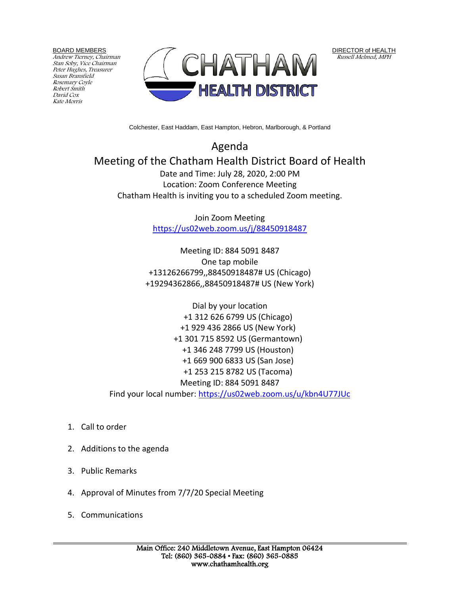BOARD MEMBERS

Andrew Tierney, Chairman Stan Soby, Vice Chairman Peter Hughes, Treasurer Susan Bransfield Rosemary Coyle Robert Smith David Cox Kate Morris



DIRECTOR of HEALTH Russell Melmed, MPH

Colchester, East Haddam, East Hampton, Hebron, Marlborough, & Portland

Agenda Meeting of the Chatham Health District Board of Health Date and Time: July 28, 2020, 2:00 PM Location: Zoom Conference Meeting Chatham Health is inviting you to a scheduled Zoom meeting.

> Join Zoom Meeting <https://us02web.zoom.us/j/88450918487>

Meeting ID: 884 5091 8487 One tap mobile +13126266799,,88450918487# US (Chicago) +19294362866,,88450918487# US (New York)

Dial by your location +1 312 626 6799 US (Chicago) +1 929 436 2866 US (New York) +1 301 715 8592 US (Germantown) +1 346 248 7799 US (Houston) +1 669 900 6833 US (San Jose) +1 253 215 8782 US (Tacoma) Meeting ID: 884 5091 8487 Find your local number:<https://us02web.zoom.us/u/kbn4U77JUc>

- 1. Call to order
- 2. Additions to the agenda
- 3. Public Remarks
- 4. Approval of Minutes from 7/7/20 Special Meeting
- 5. Communications